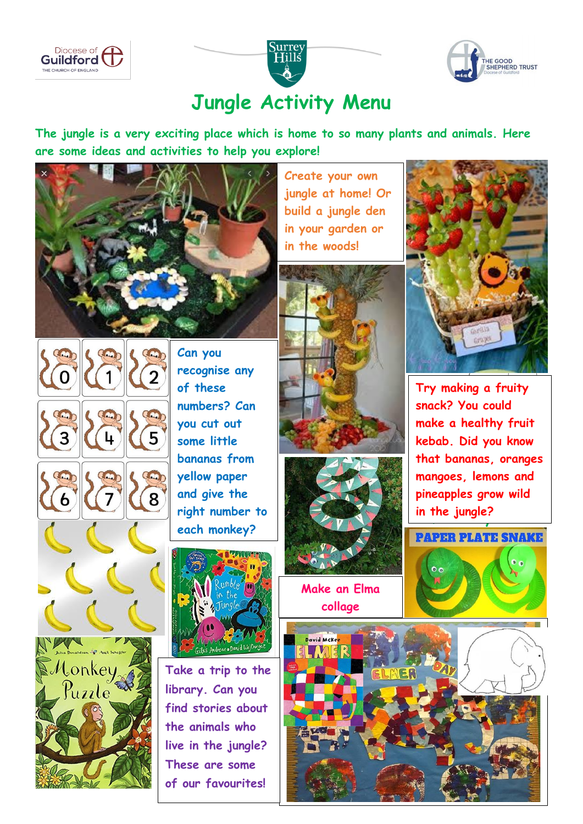





## **Jungle Activity Menu**

**The jungle is a very exciting place which is home to so many plants and animals. Here are some ideas and activities to help you explore!**



COD

 **build a jungle den in your garden or Create your own jungle at home! Or in the woods!**





 $\overline{5}$ 3 COD 8 Uonkey<br>Puzzle

COOD

 **Can you recognise any of these numbers? Can you cut out some little bananas from yellow paper and give the right number to each monkey?**



**Take a trip to the library. Can you find stories about the animals who live in the jungle? These are some of our favourites!**





 $\mathsf{collapse}$ **Make an Elma**